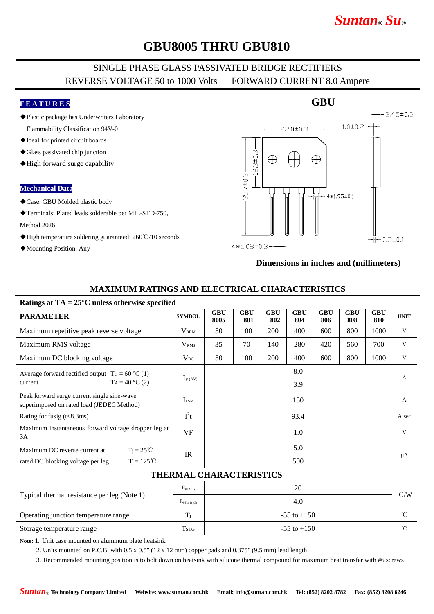# *Suntan***®** *Su***®**

## **GBU8005 THRU GBU810**

### SINGLE PHASE GLASS PASSIVATED BRIDGE RECTIFIERS REVERSE VOLTAGE 50 to 1000 Volts FORWARD CURRENT 8.0 Ampere

#### **F E A T U R E S**

◆Plastic package has Underwriters Laboratory

Flammability Classification 94V-0

- ◆Ideal for printed circuit boards
- ◆Glass passivated chip junction
- ◆High forward surge capability

#### **Mechanical Data**

- ◆Case: GBU Molded plastic body
- ◆Terminals: Plated leads solderable per MIL-STD-750,

#### Method 2026

- ◆High temperature soldering guaranteed: 260℃/10 seconds
- ◆Mounting Position: Any

# 3.45±0.3  $1.0 \pm 0.2$  $22.0 \pm 0.3 -$ 8.3±0.3  $\oplus$  $\oplus$  $35.7 \pm 0.3 4*1.95 \pm 0.1$  $H = 0.5 \pm 0.1$  $4*5.08 \pm 0.3 -$

#### **Dimensions in inches and (millimeters)**

#### **MAXIMUM RATINGS AND ELECTRICAL CHARACTERISTICS**

#### **Ratings at TA = 25°C unless otherwise specified**

| <b>PARAMETER</b>                                                                         | <b>SYMBOL</b>    | <b>GBU</b><br>8005 | <b>GBU</b><br>801 | <b>GBU</b><br>802 | <b>GBU</b><br>804 | <b>GBU</b><br>806 | <b>GBU</b><br>808 | <b>GBU</b><br>810 | <b>UNIT</b>  |  |  |  |  |  |
|------------------------------------------------------------------------------------------|------------------|--------------------|-------------------|-------------------|-------------------|-------------------|-------------------|-------------------|--------------|--|--|--|--|--|
| Maximum repetitive peak reverse voltage                                                  | <b>VRRM</b>      | 50                 | 100               | 200               | 400               | 600               | 800               | 1000              | V            |  |  |  |  |  |
| Maximum RMS voltage                                                                      | V <sub>RMS</sub> | 35                 | 70                | 140               | 280               | 420               | 560               | 700               | V            |  |  |  |  |  |
| Maximum DC blocking voltage                                                              | $\rm V_{DC}$     | 50                 | 100               | 200               | 400               | 600               | 800               | 1000              | V            |  |  |  |  |  |
| Average forward rectified output $Tc = 60 °C(1)$<br>$T_A = 40 °C(2)$<br>current          | $I_F(AV)$        |                    |                   |                   | 8.0<br>3.9        |                   |                   |                   | $\mathbf{A}$ |  |  |  |  |  |
| Peak forward surge current single sine-wave<br>superimposed on rated load (JEDEC Method) | <b>IFSM</b>      |                    |                   |                   | 150               |                   |                   |                   | $\mathbf{A}$ |  |  |  |  |  |
| Rating for fusig $(t<8.3ms)$                                                             | $I^2t$           |                    |                   |                   | 93.4              |                   |                   |                   | $A^2$ sec    |  |  |  |  |  |
| Maximum instantaneous forward voltage dropper leg at<br>3A                               | <b>VF</b>        |                    |                   |                   | 1.0               |                   |                   |                   | V            |  |  |  |  |  |
| Maximum DC reverse current at<br>$T_i = 25^{\circ}C$                                     | IR               | 5.0                |                   |                   |                   |                   |                   |                   | μA           |  |  |  |  |  |
| $T_i = 125^{\circ}C$<br>rated DC blocking voltage per leg                                |                  |                    |                   |                   | 500               |                   |                   |                   |              |  |  |  |  |  |

#### **THERMAL CHARACTERISTICS**

| Typical thermal resistance per leg (Note 1) | $R_{\theta J A(2)}$   | 20              | $\degree$ C/W |
|---------------------------------------------|-----------------------|-----------------|---------------|
|                                             | $R_{\theta JL(1)(3)}$ | 4.0             |               |
| Operating junction temperature range        | m                     | $-55$ to $+150$ | $\sim$        |
| Storage temperature range                   | Tstg                  | $-55$ to $+150$ | $\sim$        |

**Note:** 1. Unit case mounted on aluminum plate heatsink

2. Units mounted on P.C.B. with 0.5 x 0.5" (12 x 12 mm) copper pads and 0.375" (9.5 mm) lead length

3. Recommended mounting position is to bolt down on heatsink with silicone thermal compound for maximum heat transfer with #6 screws

**GBU**